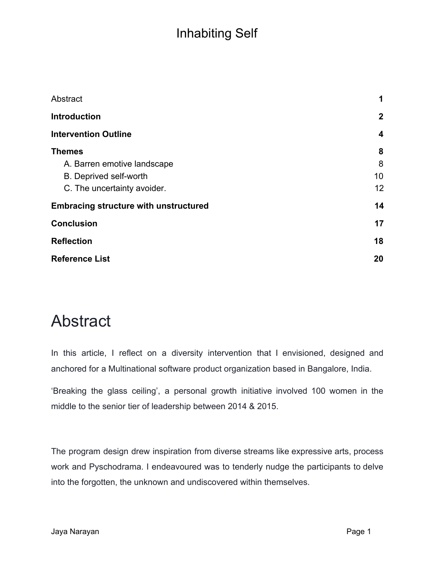| Abstract                                     | 1            |
|----------------------------------------------|--------------|
| <b>Introduction</b>                          | $\mathbf{2}$ |
| <b>Intervention Outline</b>                  | 4            |
| <b>Themes</b>                                | 8            |
| A. Barren emotive landscape                  | 8            |
| <b>B.</b> Deprived self-worth                | 10           |
| C. The uncertainty avoider.                  | 12           |
| <b>Embracing structure with unstructured</b> | 14           |
| <b>Conclusion</b>                            | 17           |
| <b>Reflection</b>                            | 18           |
| <b>Reference List</b>                        | 20           |

# <span id="page-0-0"></span>Abstract

In this article, I reflect on a diversity intervention that I envisioned, designed and anchored for a Multinational software product organization based in Bangalore, India.

'Breaking the glass ceiling', a personal growth initiative involved 100 women in the middle to the senior tier of leadership between 2014 & 2015.

The program design drew inspiration from diverse streams like expressive arts, process work and Pyschodrama. I endeavoured was to tenderly nudge the participants to delve into the forgotten, the unknown and undiscovered within themselves.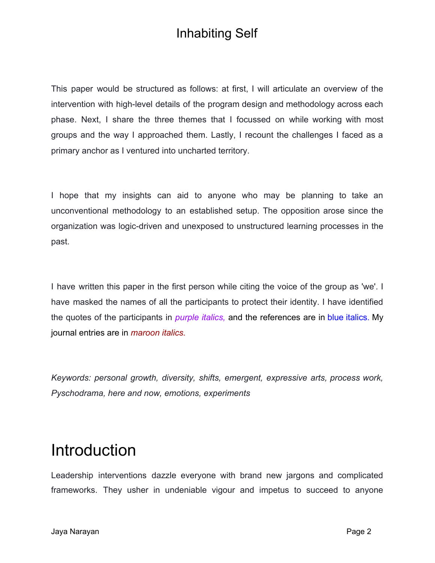This paper would be structured as follows: at first, I will articulate an overview of the intervention with high-level details of the program design and methodology across each phase. Next, I share the three themes that I focussed on while working with most groups and the way I approached them. Lastly, I recount the challenges I faced as a primary anchor as I ventured into uncharted territory.

I hope that my insights can aid to anyone who may be planning to take an unconventional methodology to an established setup. The opposition arose since the organization was logic-driven and unexposed to unstructured learning processes in the past.

I have written this paper in the first person while citing the voice of the group as 'we'. I have masked the names of all the participants to protect their identity. I have identified the quotes of the participants in *purple italics,* and the references are in blue italics. My journal entries are in *maroon italics.*

*Keywords: personal growth, diversity, shifts, emergent, expressive arts, process work, Pyschodrama, here and now, emotions, experiments*

## <span id="page-1-0"></span>Introduction

Leadership interventions dazzle everyone with brand new jargons and complicated frameworks. They usher in undeniable vigour and impetus to succeed to anyone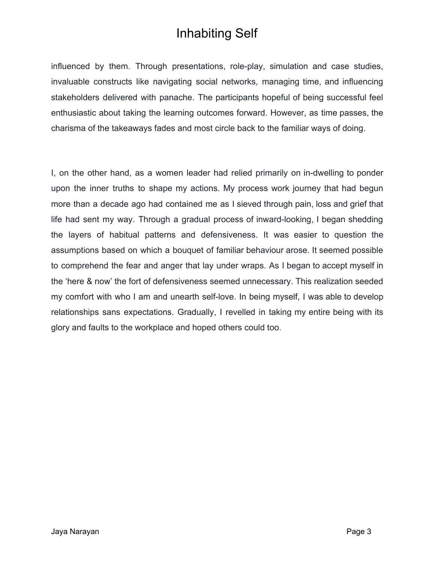influenced by them. Through presentations, role-play, simulation and case studies, invaluable constructs like navigating social networks, managing time, and influencing stakeholders delivered with panache. The participants hopeful of being successful feel enthusiastic about taking the learning outcomes forward. However, as time passes, the charisma of the takeaways fades and most circle back to the familiar ways of doing.

I, on the other hand, as a women leader had relied primarily on in-dwelling to ponder upon the inner truths to shape my actions. My process work journey that had begun more than a decade ago had contained me as I sieved through pain, loss and grief that life had sent my way. Through a gradual process of inward-looking, I began shedding the layers of habitual patterns and defensiveness. It was easier to question the assumptions based on which a bouquet of familiar behaviour arose. It seemed possible to comprehend the fear and anger that lay under wraps. As I began to accept myself in the 'here & now' the fort of defensiveness seemed unnecessary. This realization seeded my comfort with who I am and unearth self-love. In being myself, I was able to develop relationships sans expectations. Gradually, I revelled in taking my entire being with its glory and faults to the workplace and hoped others could too.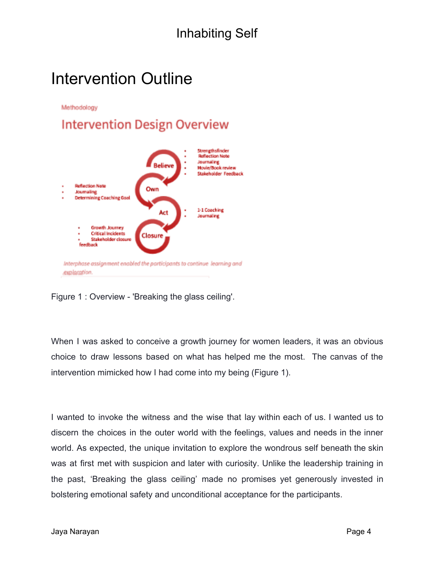# <span id="page-3-0"></span>Intervention Outline

Methodology

#### **Intervention Design Overview**



Figure 1 : Overview - 'Breaking the glass ceiling'.

When I was asked to conceive a growth journey for women leaders, it was an obvious choice to draw lessons based on what has helped me the most. The canvas of the intervention mimicked how I had come into my being (Figure 1).

I wanted to invoke the witness and the wise that lay within each of us. I wanted us to discern the choices in the outer world with the feelings, values and needs in the inner world. As expected, the unique invitation to explore the wondrous self beneath the skin was at first met with suspicion and later with curiosity. Unlike the leadership training in the past, 'Breaking the glass ceiling' made no promises yet generously invested in bolstering emotional safety and unconditional acceptance for the participants.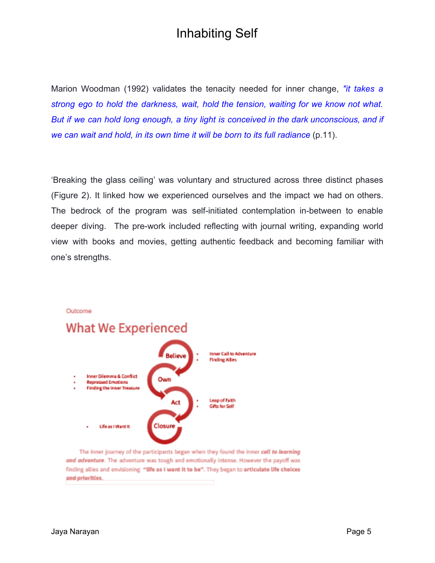Marion Woodman (1992) validates the tenacity needed for inner change, *"it takes a strong ego to hold the darkness, wait, hold the tension, waiting for we know not what. But if we can hold long enough, a tiny light is conceived in the dark unconscious, and if we can wait and hold, in its own time it will be born to its full radiance* (p.11).

'Breaking the glass ceiling' was voluntary and structured across three distinct phases (Figure 2). It linked how we experienced ourselves and the impact we had on others. The bedrock of the program was self-initiated contemplation in-between to enable deeper diving. The pre-work included reflecting with journal writing, expanding world view with books and movies, getting authentic feedback and becoming familiar with one's strengths.



The inner journey of the participants began when they found the inner call to learning and adventure. The adventure was tough and emotionally intense. However the payoff was finding allies and envisioning "life as I want it to be". They began to articulate life choices and priorities.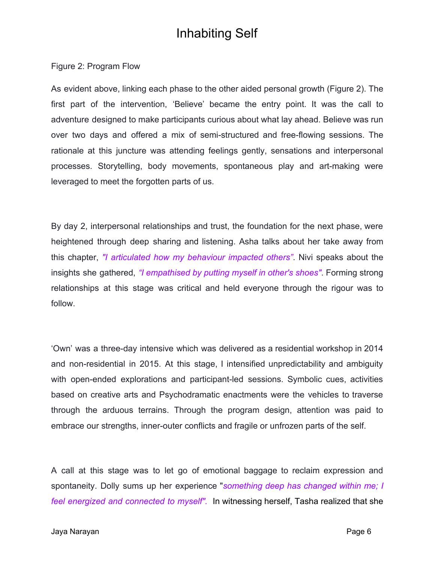Figure 2: Program Flow

As evident above, linking each phase to the other aided personal growth (Figure 2). The first part of the intervention, 'Believe' became the entry point. It was the call to adventure designed to make participants curious about what lay ahead. Believe was run over two days and offered a mix of semi-structured and free-flowing sessions. The rationale at this juncture was attending feelings gently, sensations and interpersonal processes. Storytelling, body movements, spontaneous play and art-making were leveraged to meet the forgotten parts of us.

By day 2, interpersonal relationships and trust, the foundation for the next phase, were heightened through deep sharing and listening. Asha talks about her take away from this chapter, *"I articulated how my behaviour impacted others"*. Nivi speaks about the insights she gathered, *"I empathised by putting myself in other's shoes"*. Forming strong relationships at this stage was critical and held everyone through the rigour was to follow.

'Own' was a three-day intensive which was delivered as a residential workshop in 2014 and non-residential in 2015. At this stage, I intensified unpredictability and ambiguity with open-ended explorations and participant-led sessions. Symbolic cues, activities based on creative arts and Psychodramatic enactments were the vehicles to traverse through the arduous terrains. Through the program design, attention was paid to embrace our strengths, inner-outer conflicts and fragile or unfrozen parts of the self.

A call at this stage was to let go of emotional baggage to reclaim expression and spontaneity. Dolly sums up her experience "*something deep has changed within me; I feel energized and connected to myself".* In witnessing herself, Tasha realized that she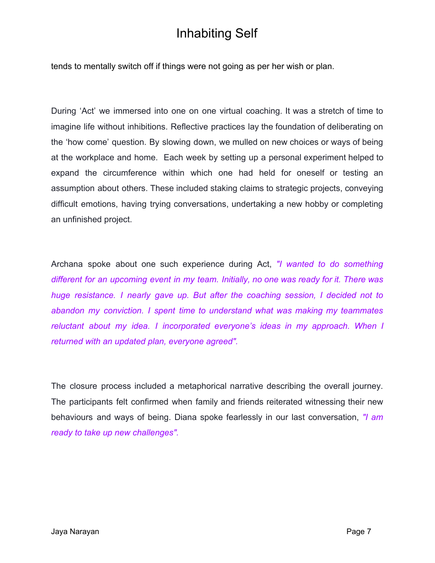tends to mentally switch off if things were not going as per her wish or plan.

During 'Act' we immersed into one on one virtual coaching. It was a stretch of time to imagine life without inhibitions. Reflective practices lay the foundation of deliberating on the 'how come' question. By slowing down, we mulled on new choices or ways of being at the workplace and home. Each week by setting up a personal experiment helped to expand the circumference within which one had held for oneself or testing an assumption about others. These included staking claims to strategic projects, conveying difficult emotions, having trying conversations, undertaking a new hobby or completing an unfinished project.

Archana spoke about one such experience during Act, *"I wanted to do something different for an upcoming event in my team. Initially, no one was ready for it. There was huge resistance. I nearly gave up. But after the coaching session, I decided not to abandon my conviction. I spent time to understand what was making my teammates reluctant about my idea. I incorporated everyone's ideas in my approach. When I returned with an updated plan, everyone agreed".*

The closure process included a metaphorical narrative describing the overall journey. The participants felt confirmed when family and friends reiterated witnessing their new behaviours and ways of being. Diana spoke fearlessly in our last conversation, *"I am ready to take up new challenges".*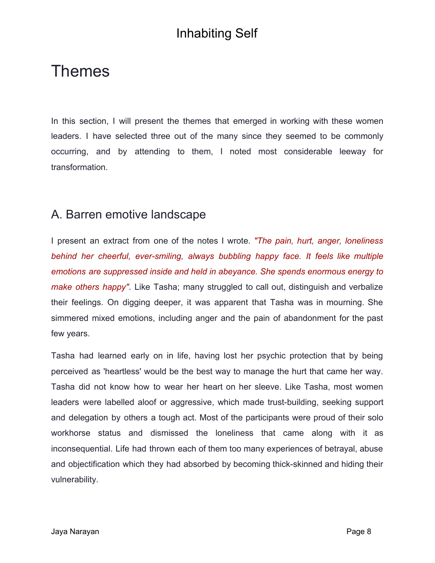# <span id="page-7-0"></span>Themes

In this section, I will present the themes that emerged in working with these women leaders. I have selected three out of the many since they seemed to be commonly occurring, and by attending to them, I noted most considerable leeway for transformation.

#### <span id="page-7-1"></span>A. Barren emotive landscape

I present an extract from one of the notes I wrote. *"The pain, hurt, anger, loneliness behind her cheerful, ever-smiling, always bubbling happy face. It feels like multiple emotions are suppressed inside and held in abeyance. She spends enormous energy to make others happy"*. Like Tasha; many struggled to call out, distinguish and verbalize their feelings. On digging deeper, it was apparent that Tasha was in mourning. She simmered mixed emotions, including anger and the pain of abandonment for the past few years.

Tasha had learned early on in life, having lost her psychic protection that by being perceived as 'heartless' would be the best way to manage the hurt that came her way. Tasha did not know how to wear her heart on her sleeve. Like Tasha, most women leaders were labelled aloof or aggressive, which made trust-building, seeking support and delegation by others a tough act. Most of the participants were proud of their solo workhorse status and dismissed the loneliness that came along with it as inconsequential. Life had thrown each of them too many experiences of betrayal, abuse and objectification which they had absorbed by becoming thick-skinned and hiding their vulnerability.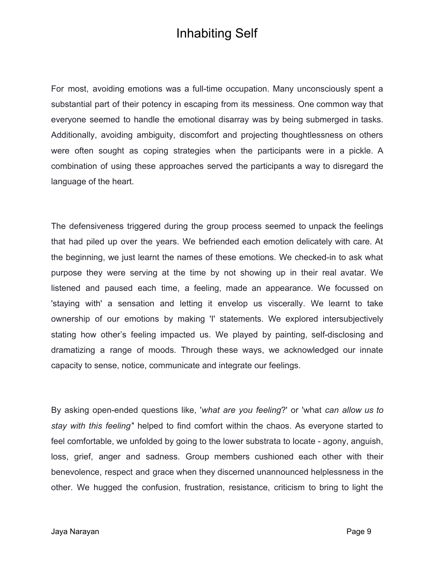For most, avoiding emotions was a full-time occupation. Many unconsciously spent a substantial part of their potency in escaping from its messiness. One common way that everyone seemed to handle the emotional disarray was by being submerged in tasks. Additionally, avoiding ambiguity, discomfort and projecting thoughtlessness on others were often sought as coping strategies when the participants were in a pickle. A combination of using these approaches served the participants a way to disregard the language of the heart.

The defensiveness triggered during the group process seemed to unpack the feelings that had piled up over the years. We befriended each emotion delicately with care. At the beginning, we just learnt the names of these emotions. We checked-in to ask what purpose they were serving at the time by not showing up in their real avatar. We listened and paused each time, a feeling, made an appearance. We focussed on 'staying with' a sensation and letting it envelop us viscerally. We learnt to take ownership of our emotions by making 'I' statements. We explored intersubjectively stating how other's feeling impacted us. We played by painting, self-disclosing and dramatizing a range of moods. Through these ways, we acknowledged our innate capacity to sense, notice, communicate and integrate our feelings.

By asking open-ended questions like, '*what are you feeling*?' or 'what *can allow us to stay with this feeling'*' helped to find comfort within the chaos. As everyone started to feel comfortable, we unfolded by going to the lower substrata to locate - agony, anguish, loss, grief, anger and sadness. Group members cushioned each other with their benevolence, respect and grace when they discerned unannounced helplessness in the other. We hugged the confusion, frustration, resistance, criticism to bring to light the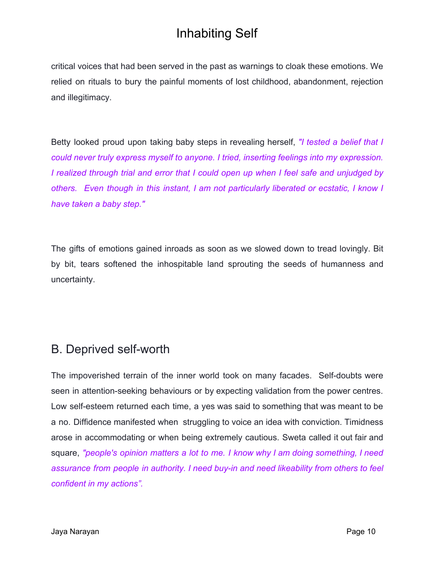critical voices that had been served in the past as warnings to cloak these emotions. We relied on rituals to bury the painful moments of lost childhood, abandonment, rejection and illegitimacy.

Betty looked proud upon taking baby steps in revealing herself, *"I tested a belief that I could never truly express myself to anyone. I tried, inserting feelings into my expression. I realized through trial and error that I could open up when I feel safe and unjudged by others. Even though in this instant, I am not particularly liberated or ecstatic, I know I have taken a baby step."*

The gifts of emotions gained inroads as soon as we slowed down to tread lovingly. Bit by bit, tears softened the inhospitable land sprouting the seeds of humanness and uncertainty.

#### <span id="page-9-0"></span>B. Deprived self-worth

The impoverished terrain of the inner world took on many facades. Self-doubts were seen in attention-seeking behaviours or by expecting validation from the power centres. Low self-esteem returned each time, a yes was said to something that was meant to be a no. Diffidence manifested when struggling to voice an idea with conviction. Timidness arose in accommodating or when being extremely cautious. Sweta called it out fair and square, *"people's opinion matters a lot to me. I know why I am doing something, I need assurance from people in authority. I need buy-in and need likeability from others to feel confident in my actions".*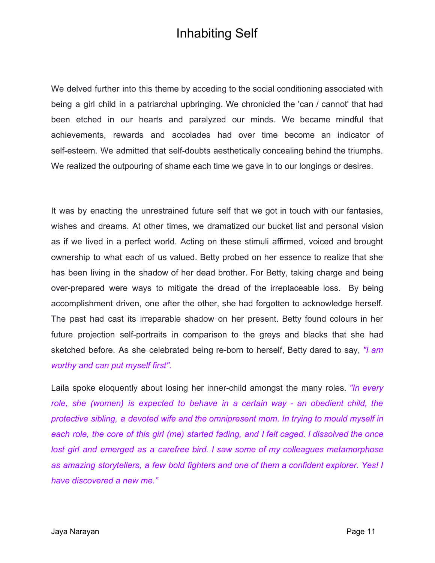We delved further into this theme by acceding to the social conditioning associated with being a girl child in a patriarchal upbringing. We chronicled the 'can / cannot' that had been etched in our hearts and paralyzed our minds. We became mindful that achievements, rewards and accolades had over time become an indicator of self-esteem. We admitted that self-doubts aesthetically concealing behind the triumphs. We realized the outpouring of shame each time we gave in to our longings or desires.

It was by enacting the unrestrained future self that we got in touch with our fantasies, wishes and dreams. At other times, we dramatized our bucket list and personal vision as if we lived in a perfect world. Acting on these stimuli affirmed, voiced and brought ownership to what each of us valued. Betty probed on her essence to realize that she has been living in the shadow of her dead brother. For Betty, taking charge and being over-prepared were ways to mitigate the dread of the irreplaceable loss. By being accomplishment driven, one after the other, she had forgotten to acknowledge herself. The past had cast its irreparable shadow on her present. Betty found colours in her future projection self-portraits in comparison to the greys and blacks that she had sketched before. As she celebrated being re-born to herself, Betty dared to say, *"I am worthy and can put myself first".*

Laila spoke eloquently about losing her inner-child amongst the many roles. *"In every role, she (women) is expected to behave in a certain way - an obedient child, the protective sibling, a devoted wife and the omnipresent mom. In trying to mould myself in each role, the core of this girl (me) started fading, and I felt caged. I dissolved the once lost girl and emerged as a carefree bird. I saw some of my colleagues metamorphose as amazing storytellers, a few bold fighters and one of them a confident explorer. Yes! I have discovered a new me."*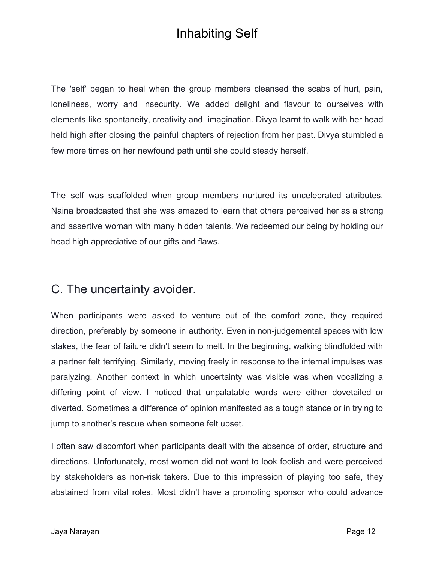The 'self' began to heal when the group members cleansed the scabs of hurt, pain, loneliness, worry and insecurity. We added delight and flavour to ourselves with elements like spontaneity, creativity and imagination. Divya learnt to walk with her head held high after closing the painful chapters of rejection from her past. Divya stumbled a few more times on her newfound path until she could steady herself.

The self was scaffolded when group members nurtured its uncelebrated attributes. Naina broadcasted that she was amazed to learn that others perceived her as a strong and assertive woman with many hidden talents. We redeemed our being by holding our head high appreciative of our gifts and flaws.

#### <span id="page-11-0"></span>C. The uncertainty avoider.

When participants were asked to venture out of the comfort zone, they required direction, preferably by someone in authority. Even in non-judgemental spaces with low stakes, the fear of failure didn't seem to melt. In the beginning, walking blindfolded with a partner felt terrifying. Similarly, moving freely in response to the internal impulses was paralyzing. Another context in which uncertainty was visible was when vocalizing a differing point of view. I noticed that unpalatable words were either dovetailed or diverted. Sometimes a difference of opinion manifested as a tough stance or in trying to jump to another's rescue when someone felt upset.

I often saw discomfort when participants dealt with the absence of order, structure and directions. Unfortunately, most women did not want to look foolish and were perceived by stakeholders as non-risk takers. Due to this impression of playing too safe, they abstained from vital roles. Most didn't have a promoting sponsor who could advance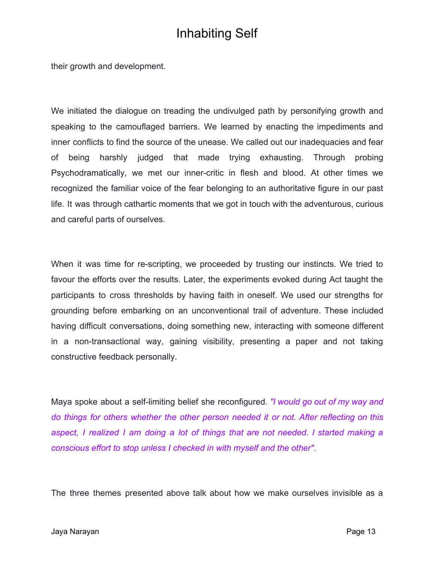their growth and development.

We initiated the dialogue on treading the undivulged path by personifying growth and speaking to the camouflaged barriers. We learned by enacting the impediments and inner conflicts to find the source of the unease. We called out our inadequacies and fear of being harshly judged that made trying exhausting. Through probing Psychodramatically, we met our inner-critic in flesh and blood. At other times we recognized the familiar voice of the fear belonging to an authoritative figure in our past life. It was through cathartic moments that we got in touch with the adventurous, curious and careful parts of ourselves.

When it was time for re-scripting, we proceeded by trusting our instincts. We tried to favour the efforts over the results. Later, the experiments evoked during Act taught the participants to cross thresholds by having faith in oneself. We used our strengths for grounding before embarking on an unconventional trail of adventure. These included having difficult conversations, doing something new, interacting with someone different in a non-transactional way, gaining visibility, presenting a paper and not taking constructive feedback personally.

Maya spoke about a self-limiting belief she reconfigured. *"I would go out of my way and do things for others whether the other person needed it or not. After reflecting on this aspect, I realized I am doing a lot of things that are not needed. I started making a conscious effort to stop unless I checked in with myself and the other"*.

The three themes presented above talk about how we make ourselves invisible as a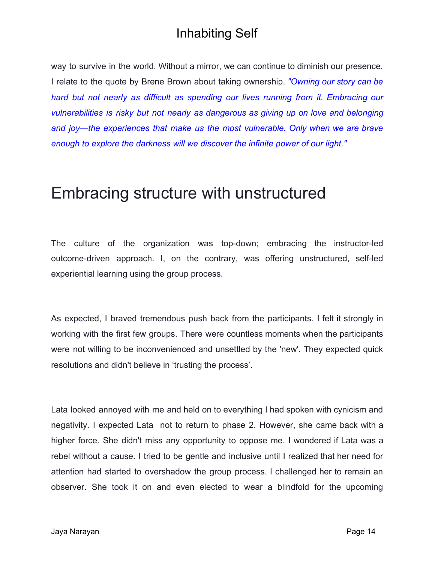way to survive in the world. Without a mirror, we can continue to diminish our presence. I relate to the quote by Brene Brown about taking ownership. *"Owning our story can be hard but not nearly as difficult as spending our lives running from it. Embracing our vulnerabilities is risky but not nearly as dangerous as giving up on love and belonging and joy—the experiences that make us the most vulnerable. Only when we are brave enough to explore the darkness will we discover the infinite power of our light."*

### <span id="page-13-0"></span>Embracing structure with unstructured

The culture of the organization was top-down; embracing the instructor-led outcome-driven approach. I, on the contrary, was offering unstructured, self-led experiential learning using the group process.

As expected, I braved tremendous push back from the participants. I felt it strongly in working with the first few groups. There were countless moments when the participants were not willing to be inconvenienced and unsettled by the 'new'. They expected quick resolutions and didn't believe in 'trusting the process'.

Lata looked annoyed with me and held on to everything I had spoken with cynicism and negativity. I expected Lata not to return to phase 2. However, she came back with a higher force. She didn't miss any opportunity to oppose me. I wondered if Lata was a rebel without a cause. I tried to be gentle and inclusive until I realized that her need for attention had started to overshadow the group process. I challenged her to remain an observer. She took it on and even elected to wear a blindfold for the upcoming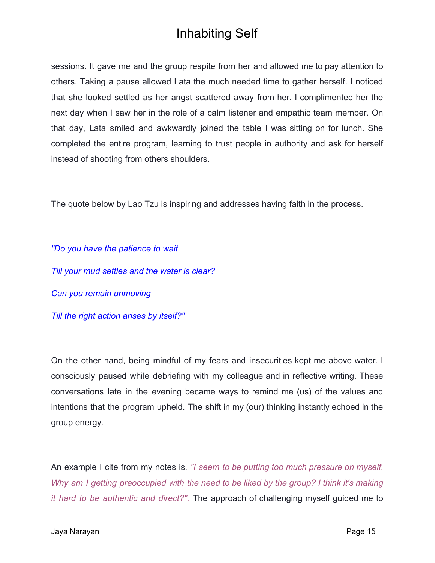sessions. It gave me and the group respite from her and allowed me to pay attention to others. Taking a pause allowed Lata the much needed time to gather herself. I noticed that she looked settled as her angst scattered away from her. I complimented her the next day when I saw her in the role of a calm listener and empathic team member. On that day, Lata smiled and awkwardly joined the table I was sitting on for lunch. She completed the entire program, learning to trust people in authority and ask for herself instead of shooting from others shoulders.

The quote below by Lao Tzu is inspiring and addresses having faith in the process.

*"Do you have the patience to wait Till your mud settles and the water is clear? Can you remain unmoving Till the right action arises by itself?"*

On the other hand, being mindful of my fears and insecurities kept me above water. I consciously paused while debriefing with my colleague and in reflective writing. These conversations late in the evening became ways to remind me (us) of the values and intentions that the program upheld. The shift in my (our) thinking instantly echoed in the group energy.

An example I cite from my notes is*, "I seem to be putting too much pressure on myself. Why am I getting preoccupied with the need to be liked by the group? I think it's making it hard to be authentic and direct?".* The approach of challenging myself guided me to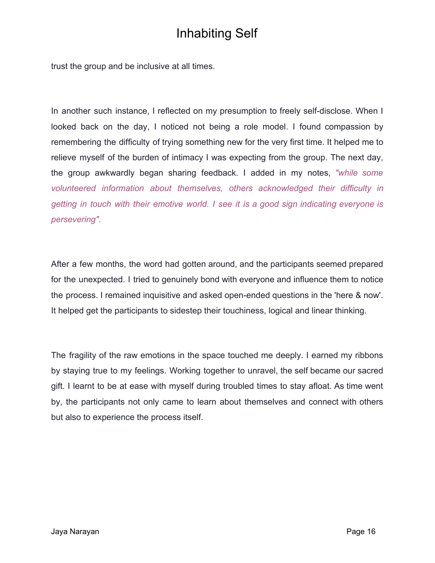trust the group and be inclusive at all times.

In another such instance, I reflected on my presumption to freely self-disclose. When I looked back on the day, I noticed not being a role model. I found compassion by remembering the difficulty of trying something new for the very first time. It helped me to relieve myself of the burden of intimacy I was expecting from the group. The next day, the group awkwardly began sharing feedback. I added in my notes, *"while some volunteered information about themselves, others acknowledged their difficulty in getting in touch with their emotive world. I see it is a good sign indicating everyone is persevering".*

After a few months, the word had gotten around, and the participants seemed prepared for the unexpected. I tried to genuinely bond with everyone and influence them to notice the process. I remained inquisitive and asked open-ended questions in the 'here & now'. It helped get the participants to sidestep their touchiness, logical and linear thinking.

The fragility of the raw emotions in the space touched me deeply. I earned my ribbons by staying true to my feelings. Working together to unravel, the self became our sacred gift. I learnt to be at ease with myself during troubled times to stay afloat. As time went by, the participants not only came to learn about themselves and connect with others but also to experience the process itself.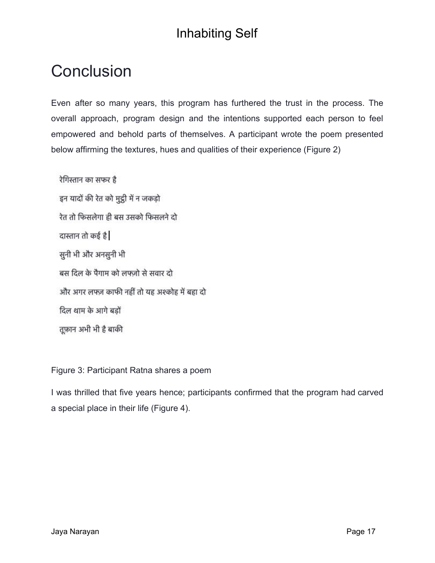# <span id="page-16-0"></span>**Conclusion**

Even after so many years, this program has furthered the trust in the process. The overall approach, program design and the intentions supported each person to feel empowered and behold parts of themselves. A participant wrote the poem presented below affirming the textures, hues and qualities of their experience (Figure 2)

रेगिस्तान का सफर है इन यादों की रेत को मुट्ठी में न जकड़ो रेत तो फिसलेगा ही बस उसको फिसलने दो दास्तान तो कई है सुनी भी और अनसुनी भी बस दिल के पैगाम को लफ़्ज़ो से सवार दो और अगर लफ्ज़ काफी नहीं तो यह अश्कोह में बहा दो दिल थाम के आगे बड़ों तूफ़ान अभी भी है बाकी

Figure 3: Participant Ratna shares a poem

I was thrilled that five years hence; participants confirmed that the program had carved a special place in their life (Figure 4).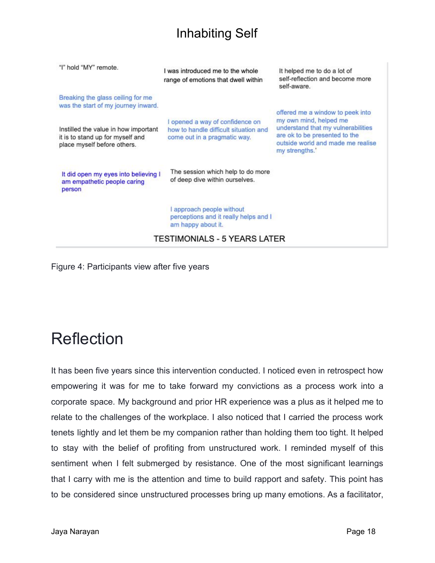| "I" hold "MY" remote.                                                                                   | I was introduced me to the whole<br>range of emotions that dwell within                                  | It helped me to do a lot of<br>self-reflection and become more<br>self-aware.                                                                                                            |  |
|---------------------------------------------------------------------------------------------------------|----------------------------------------------------------------------------------------------------------|------------------------------------------------------------------------------------------------------------------------------------------------------------------------------------------|--|
| Breaking the glass ceiling for me<br>was the start of my journey inward.                                |                                                                                                          |                                                                                                                                                                                          |  |
| Instilled the value in how important<br>it is to stand up for myself and<br>place myself before others. | I opened a way of confidence on<br>how to handle difficult situation and<br>come out in a pragmatic way. | offered me a window to peek into<br>my own mind, helped me<br>understand that my vulnerabilities<br>are ok to be presented to the<br>outside world and made me realise<br>my strengths.' |  |
| It did open my eyes into believing I<br>am empathetic people caring<br>person                           | The session which help to do more<br>of deep dive within ourselves.                                      |                                                                                                                                                                                          |  |
|                                                                                                         | approach people without<br>perceptions and it really helps and I<br>am happy about it.                   |                                                                                                                                                                                          |  |
| <b>TESTIMONIALS - 5 YEARS LATER</b>                                                                     |                                                                                                          |                                                                                                                                                                                          |  |

Figure 4: Participants view after five years

# <span id="page-17-0"></span>Reflection

It has been five years since this intervention conducted. I noticed even in retrospect how empowering it was for me to take forward my convictions as a process work into a corporate space. My background and prior HR experience was a plus as it helped me to relate to the challenges of the workplace. I also noticed that I carried the process work tenets lightly and let them be my companion rather than holding them too tight. It helped to stay with the belief of profiting from unstructured work. I reminded myself of this sentiment when I felt submerged by resistance. One of the most significant learnings that I carry with me is the attention and time to build rapport and safety. This point has to be considered since unstructured processes bring up many emotions. As a facilitator,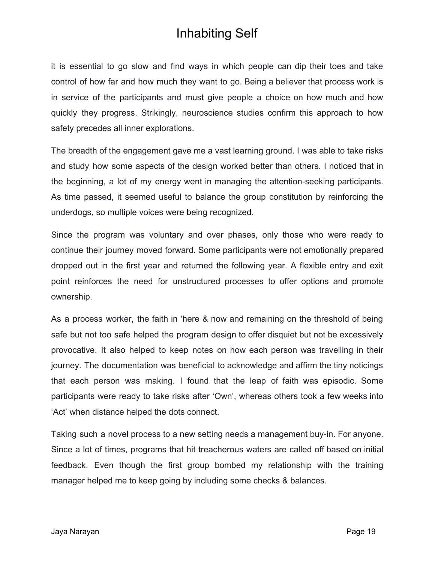it is essential to go slow and find ways in which people can dip their toes and take control of how far and how much they want to go. Being a believer that process work is in service of the participants and must give people a choice on how much and how quickly they progress. Strikingly, neuroscience studies confirm this approach to how safety precedes all inner explorations.

The breadth of the engagement gave me a vast learning ground. I was able to take risks and study how some aspects of the design worked better than others. I noticed that in the beginning, a lot of my energy went in managing the attention-seeking participants. As time passed, it seemed useful to balance the group constitution by reinforcing the underdogs, so multiple voices were being recognized.

Since the program was voluntary and over phases, only those who were ready to continue their journey moved forward. Some participants were not emotionally prepared dropped out in the first year and returned the following year. A flexible entry and exit point reinforces the need for unstructured processes to offer options and promote ownership.

As a process worker, the faith in 'here & now and remaining on the threshold of being safe but not too safe helped the program design to offer disquiet but not be excessively provocative. It also helped to keep notes on how each person was travelling in their journey. The documentation was beneficial to acknowledge and affirm the tiny noticings that each person was making. I found that the leap of faith was episodic. Some participants were ready to take risks after 'Own', whereas others took a few weeks into 'Act' when distance helped the dots connect.

Taking such a novel process to a new setting needs a management buy-in. For anyone. Since a lot of times, programs that hit treacherous waters are called off based on initial feedback. Even though the first group bombed my relationship with the training manager helped me to keep going by including some checks & balances.